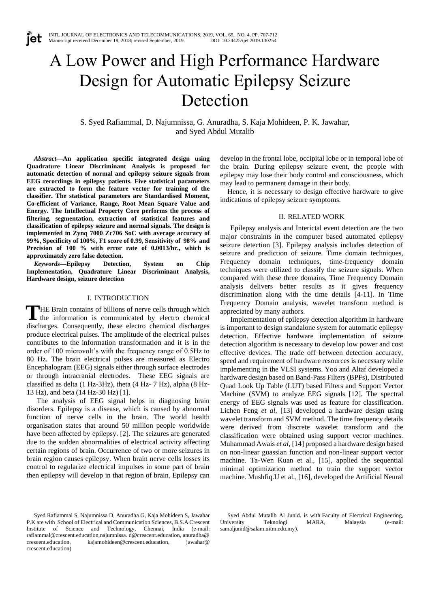# A Low Power and High Performance Hardware Design for Automatic Epilepsy Seizure Detection

S. Syed Rafiammal, D. Najumnissa, G. Anuradha, S. Kaja Mohideen, P. K. Jawahar, and Syed Abdul Mutalib

*Abstract—***An application specific integrated design using Quadrature Linear Discriminant Analysis is proposed for automatic detection of normal and epilepsy seizure signals from EEG recordings in epilepsy patients. Five statistical parameters are extracted to form the feature vector for training of the classifier. The statistical parameters are Standardised Moment, Co-efficient of Variance, Range, Root Mean Square Value and Energy. The Intellectual Property Core performs the process of filtering, segmentation, extraction of statistical features and classification of epilepsy seizure and normal signals. The design is implemented in Zynq 7000 Zc706 SoC with average accuracy of 99%, Specificity of 100%, F1 score of 0.99, Sensitivity of 98% and Precision of 100 % with error rate of 0.0013/hr., which is approximately zero false detection.**

*Keywords***—Epilepsy Detection, System on Chip Implementation, Quadrature Linear Discriminant Analysis, Hardware design, seizure detection**

# I. INTRODUCTION

HE Brain contains of billions of nerve cells through which THE Brain contains of billions of nerve cells through which<br>the information is communicated by electro chemical discharges. Consequently, these electro chemical discharges produce electrical pulses. The amplitude of the electrical pulses contributes to the information transformation and it is in the order of 100 microvolt's with the frequency range of 0.5Hz to 80 Hz. The brain electrical pulses are measured as Electro Encephalogram (EEG) signals either through surface electrodes or through intracranial electrodes. These EEG signals are classified as delta (1 Hz-3Hz), theta (4 Hz- 7 Hz), alpha (8 Hz-13 Hz), and beta (14 Hz-30 Hz) [1].

The analysis of EEG signal helps in diagnosing brain disorders. Epilepsy is a disease, which is caused by abnormal function of nerve cells in the brain. The world health organisation states that around 50 million people worldwide have been affected by epilepsy. [2]. The seizures are generated due to the sudden abnormalities of electrical activity affecting certain regions of brain. Occurrence of two or more seizures in brain region causes epilepsy. When brain nerve cells losses its control to regularize electrical impulses in some part of brain then epilepsy will develop in that region of brain. Epilepsy can develop in the frontal lobe, occipital lobe or in temporal lobe of the brain. During epilepsy seizure event, the people with epilepsy may lose their body control and consciousness, which may lead to permanent damage in their body.

Hence, it is necessary to design effective hardware to give indications of epilepsy seizure symptoms.

## II. RELATED WORK

Epilepsy analysis and Interictal event detection are the two major constraints in the computer based automated epilepsy seizure detection [3]. Epilepsy analysis includes detection of seizure and prediction of seizure. Time domain techniques, Frequency domain techniques, time-frequency domain techniques were utilized to classify the seizure signals. When compared with these three domains, Time Frequency Domain analysis delivers better results as it gives frequency discrimination along with the time details [4-11]. In Time Frequency Domain analysis, wavelet transform method is appreciated by many authors.

Implementation of epilepsy detection algorithm in hardware is important to design standalone system for automatic epilepsy detection. Effective hardware implementation of seizure detection algorithm is necessary to develop low power and cost effective devices. The trade off between detection accuracy, speed and requirement of hardware resources is necessary while implementing in the VLSI systems. Yoo and Altaf developed a hardware design based on Band-Pass Filters (BPFs), Distributed Quad Look Up Table (LUT) based Filters and Support Vector Machine (SVM) to analyze EEG signals [12]. The spectral energy of EEG signals was used as feature for classification. Lichen Feng *et al*, [13] developed a hardware design using wavelet transform and SVM method. The time frequency details were derived from discrete wavelet transform and the classification were obtained using support vector machines. Muhammad Awais *et al,* [14] proposed a hardware design based on non-linear guassian function and non-linear support vector machine. Ta-Wen Kuan et al., [15], applied the sequential minimal optimization method to train the support vector machine. Mushfiq.U et al., [16], developed the Artificial Neural

Syed Abdul Mutalib Al Junid. is with Faculty of Electrical Engineering, University Teknologi MARA, Malaysia (e-mail: [samaljunid@salam.uitm.edu.my\)](mailto:samaljunid@salam.uitm.edu.my).

Syed Rafiammal S, Najumnissa D, Anuradha G, Kaja Mohideen S, Jawahar P.K are with School of Electrical and Communication Sciences, B.S.A Crescent Institute of Science and Technology, Chennai, India (e-mail: rafiammal@crescent.education,najumnissa. d@crescent.education, anuradha@ crescent.education, kajamohideen@crescent.education, jawahar@ crescent.education)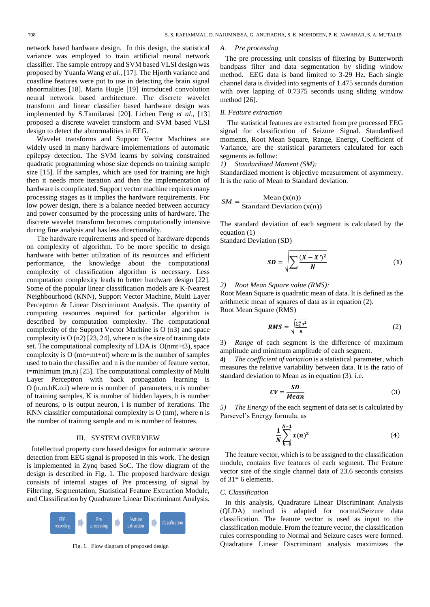network based hardware design. In this design, the statistical variance was employed to train artificial neural network classifier. The sample entropy and SVM based VLSI design was proposed by Yuanfa Wang *et al.,* [17]. The Hjorth variance and coastline features were put to use in detecting the brain signal abnormalities [18]. Maria Hugle [19] introduced convolution neural network based architecture. The discrete wavelet transform and linear classifier based hardware design was implemented by S.Tamilarasi [20]. Lichen Feng *et al*., [13] proposed a discrete wavelet transform and SVM based VLSI design to detect the abnormalities in EEG.

Wavelet transforms and Support Vector Machines are widely used in many hardware implementations of automatic epilepsy detection. The SVM learns by solving constrained quadratic programming whose size depends on training sample size [15]. If the samples, which are used for training are high then it needs more iteration and then the implementation of hardware is complicated. Support vector machine requires many processing stages as it implies the hardware requirements. For low power design, there is a balance needed between accuracy and power consumed by the processing units of hardware. The discrete wavelet transform becomes computationally intensive during fine analysis and has less directionality.

The hardware requirements and speed of hardware depends on complexity of algorithm. To be more specific to design hardware with better utilization of its resources and efficient performance, the knowledge about the computational complexity of classification algorithm is necessary. Less computation complexity leads to better hardware design [22]. Some of the popular linear classification models are K-Nearest Neighbourhood (KNN), Support Vector Machine, Multi Layer Perceptron & Linear Discriminant Analysis. The quantity of computing resources required for particular algorithm is described by computation complexity. The computational complexity of the Support Vector Machine is O (n3) and space complexity is  $O(n2)$  [23, 24], where n is the size of training data set. The computational complexity of LDA is O(nmt+t3), space complexity is O (mn+mt+nt) where m is the number of samples used to train the classifier and n is the number of feature vector, t=minimum  $(m,n)$  [25]. The computational complexity of Multi Layer Perceptron with back propagation learning is O (n.m.hK.o.i) where m is number of parameters, n is number of training samples, K is number of hidden layers, h is number of neurons, o is output neuron, i is number of iterations. The KNN classifier computational complexity is O (nm), where n is the number of training sample and m is number of features.

#### III. SYSTEM OVERVIEW

Intellectual property core based designs for automatic seizure detection from EEG signal is proposed in this work. The design is implemented in Zynq based SoC. The flow diagram of the design is described in Fig. 1. The proposed hardware design consists of internal stages of Pre processing of signal by Filtering, Segmentation, Statistical Feature Extraction Module, and Classification by Quadrature Linear Discriminant Analysis.



Fig. 1. Flow diagram of proposed design

#### *A. Pre processing*

The pre processing unit consists of filtering by Butterworth bandpass filter and data segmentation by sliding window method. EEG data is band limited to 3-29 Hz. Each single channel data is divided into segments of 1.475 seconds duration with over lapping of 0.7375 seconds using sliding window method [26].

#### *B. Feature extraction*

The statistical features are extracted from pre processed EEG signal for classification of Seizure Signal. Standardised moments, Root Mean Square, Range, Energy, Coefficient of Variance, are the statistical parameters calculated for each segments as follow:

*1) Standardized Moment (SM):*

Standardized moment is objective measurement of asymmetry. It is the ratio of Mean to Standard deviation.

$$
SM = \frac{\text{Mean}(x(n))}{\text{Standard Deviation}(x(n))}
$$

The standard deviation of each segment is calculated by the equation (1)

Standard Deviation (SD)

$$
SD = \sqrt{\sum \frac{(X - X')^2}{N}} \tag{1}
$$

## *2) Root Mean Square value (RMS):*

Root Mean Square is quadratic mean of data. It is defined as the arithmetic mean of squares of data as in equation (2). Root Mean Square (RMS)

$$
RMS = \sqrt{\frac{\sum_{1}^{n} x^{2}}{n}}
$$
 (2)

3) *Range* of each segment is the difference of maximum amplitude and minimum amplitude of each segment.

**4)** *The coefficient of variation* is a statistical parameter, which measures the relative variability between data. It is the ratio of standard deviation to Mean as in equation (3). i.e.

$$
CV = \frac{SD}{Mean}
$$
 (3)

*5) The Energy* of the each segment of data set is calculated by Parsevel's Energy formula, as

$$
\frac{1}{N} \sum_{k=0}^{N-1} x(n)^2
$$
 (4)

The feature vector, which is to be assigned to the classification module, contains five features of each segment. The Feature vector size of the single channel data of 23.6 seconds consists of 31\* 6 elements.

## *C. Classification*

In this analysis, Quadrature Linear Discriminant Analysis (QLDA) method is adapted for normal/Seizure data classification. The feature vector is used as input to the classification module. From the feature vector, the classification rules corresponding to Normal and Seizure cases were formed. Quadrature Linear Discriminant analysis maximizes the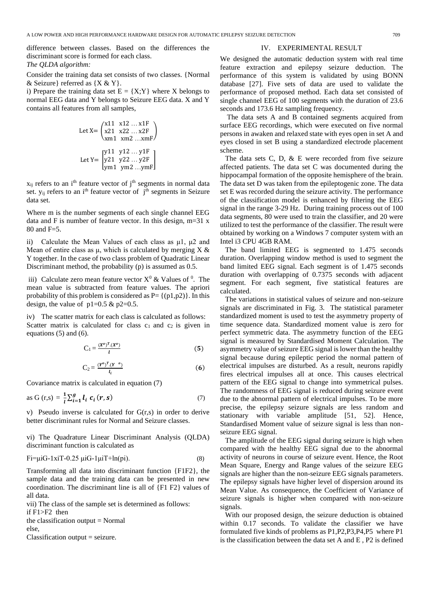difference between classes. Based on the differences the discriminant score is formed for each class. *The QLDA algorithm:*

Consider the training data set consists of two classes. {Normal & Seizure} referred as  ${X & Y}$ .

i) Prepare the training data set  $E = \{X;Y\}$  where X belongs to normal EEG data and Y belongs to Seizure EEG data. X and Y contains all features from all samples,

Let X=
$$
\begin{pmatrix} x11 & x12 ... x1F \\ x21 & x22 ... x2F \\ xm1 & xm2 ... xmF \end{pmatrix}
$$
  
Let Y=
$$
\begin{bmatrix} y11 & y12 ... y1F \\ y21 & y22 ... y2F \\ ym1 & ym2 ... ymF \end{bmatrix}
$$

 $x_{ij}$  refers to an i<sup>th</sup> feature vector of j<sup>th</sup> segments in normal data set.  $y_{ij}$  refers to an i<sup>th</sup> feature vector of j<sup>th</sup> segments in Seizure data set.

Where m is the number segments of each single channel EEG data and F is number of feature vector. In this design, m=31 x 80 and F=5.

ii) Calculate the Mean Values of each class as μ1, μ2 and Mean of entire class as  $\mu$ , which is calculated by merging X & Y together. In the case of two class problem of Quadratic Linear Discriminant method, the probability (p) is assumed as 0.5.

iii) Calculate zero mean feature vector  $X^0$  & Values of  $^0$ . The mean value is subtracted from feature values. The apriori probability of this problem is considered as  $P = \{(p1,p2)\}\$ . In this design, the value of  $p1=0.5 \& p2=0.5$ .

iv) The scatter matrix for each class is calculated as follows: Scatter matrix is calculated for class  $c_1$  and  $c_2$  is given in equations (5) and (6).

$$
C_1 = \frac{(X^o)^T (X^o)}{l} \tag{5}
$$

$$
C_2 = \frac{(Y^o)^T (Y^o)}{l_i}
$$
 (6)

Covariance matrix is calculated in equation (7)

as G (r,s) = 
$$
\frac{1}{l} \sum_{i=1}^{g} l_i \ c_i(r,s)
$$
 (7)

v) Pseudo inverse is calculated for G(r,s) in order to derive better discriminant rules for Normal and Seizure classes.

vi) The Quadrature Linear Discriminant Analysis (QLDA) discriminant function is calculated as

$$
Fi = \mu iG - 1xiT - 0.25 \mu iG - 1\mu iT + \ln(\pi).
$$
 (8)

Transforming all data into discriminant function {F1F2}, the sample data and the training data can be presented in new coordination. The discriminant line is all of {F1 F2} values of all data.

vii) The class of the sample set is determined as follows: if F1>F2 then

the classification output  $=$  Normal else,

Classification output = seizure.

## IV. EXPERIMENTAL RESULT

We designed the automatic deduction system with real time feature extraction and epilepsy seizure deduction. The performance of this system is validated by using BONN database [27]. Five sets of data are used to validate the performance of proposed method. Each data set consisted of single channel EEG of 100 segments with the duration of 23.6 seconds and 173.6 Hz sampling frequency.

The data sets A and B contained segments acquired from surface EEG recordings, which were executed on five normal persons in awaken and relaxed state with eyes open in set A and eyes closed in set B using a standardized electrode placement scheme.

The data sets C, D, & E were recorded from five seizure affected patients. The data set C was documented during the hippocampal formation of the opposite hemisphere of the brain. The data set D was taken from the epileptogenic zone. The data set E was recorded during the seizure activity. The performance of the classification model is enhanced by filtering the EEG signal in the range 3-29 Hz. During training process out of 100 data segments, 80 were used to train the classifier, and 20 were utilized to test the performance of the classifier. The result were obtained by working on a Windows 7 computer system with an Intel i3 CPU 4GB RAM.

The band limited EEG is segmented to 1.475 seconds duration. Overlapping window method is used to segment the band limited EEG signal. Each segment is of 1.475 seconds duration with overlapping of 0.7375 seconds with adjacent segment. For each segment, five statistical features are calculated.

The variations in statistical values of seizure and non-seizure signals are discriminated in Fig. 3. The statistical parameter standardized moment is used to test the asymmetry property of time sequence data. Standardized moment value is zero for perfect symmetric data. The asymmetry function of the EEG signal is measured by Standardised Moment Calculation. The asymmetry value of seizure EEG signal is lower than the healthy signal because during epileptic period the normal pattern of electrical impulses are disturbed. As a result, neurons rapidly fires electrical impulses all at once. This causes electrical pattern of the EEG signal to change into symmetrical pulses. The randomness of EEG signal is reduced during seizure event due to the abnormal pattern of electrical impulses. To be more precise, the epilepsy seizure signals are less random and stationary with variable amplitude [51, 52]. Hence, Standardised Moment value of seizure signal is less than nonseizure EEG signal.

The amplitude of the EEG signal during seizure is high when compared with the healthy EEG signal due to the abnormal activity of neurons in course of seizure event. Hence, the Root Mean Square, Energy and Range values of the seizure EEG signals are higher than the non-seizure EEG signals parameters. The epilepsy signals have higher level of dispersion around its Mean Value. As consequence, the Coefficient of Variance of seizure signals is higher when compared with non-seizure signals.

With our proposed design, the seizure deduction is obtained within 0.17 seconds. To validate the classifier we have formulated five kinds of problems as P1,P2,P3,P4,P5 where P1 is the classification between the data set A and E , P2 is defined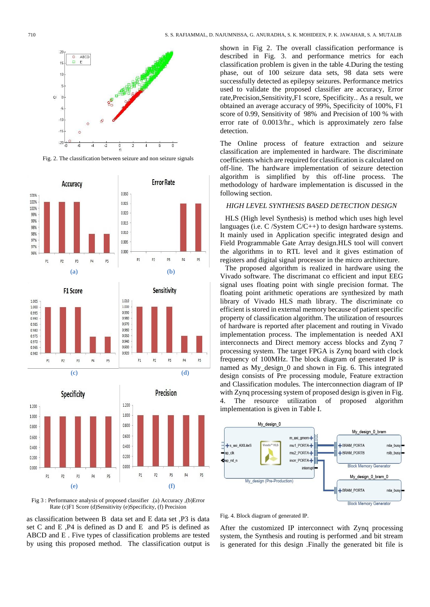

Fig. 2. The classification between seizure and non seizure signals





**(c) (d)**



Fig 3 : Performance analysis of proposed classifier .(a) Accuracy ,(b)Error Rate (c)F1 Score (d)Sensitivity (e)Specificity, (f) Precision

as classification between B data set and E data set ,P3 is data set C and E ,P4 is defined as D and E and P5 is defined as ABCD and E . Five types of classification problems are tested by using this proposed method. The classification output is

shown in Fig 2. The overall classification performance is described in Fig. 3. and performance metrics for each classification problem is given in the table 4.During the testing phase, out of 100 seizure data sets, 98 data sets were successfully detected as epilepsy seizures. Performance metrics used to validate the proposed classifier are accuracy, Error rate,Precision,Sensitivity,F1 score, Specificity.. As a result, we obtained an average accuracy of 99%, Specificity of 100%, F1 score of 0.99, Sensitivity of 98% and Precision of 100 % with error rate of 0.0013/hr., which is approximately zero false detection.

The Online process of feature extraction and seizure classification are implemented in hardware. The discriminate coefficients which are required for classification is calculated on off-line. The hardware implementation of seizure detection algorithm is simplified by this off-line process. The methodology of hardware implementation is discussed in the following section.

### *HIGH LEVEL SYNTHESIS BASED DETECTION DESIGN*

HLS (High level Synthesis) is method which uses high level languages (i.e. C /System C/C++) to design hardware systems. It mainly used in Application specific integrated design and Field Programmable Gate Array design.HLS tool will convert the algorithms in to RTL level and it gives estimation of registers and digital signal processor in the micro architecture.

The proposed algorithm is realized in hardware using the Vivado software. The discrimanat co efficient and input EEG signal uses floating point with single precision format. The floating point arithmetic operations are synthesized by math library of Vivado HLS math library. The discriminate co efficient is stored in external memory because of patient specific property of classification algorithm. The utilization of resources of hardware is reported after placement and routing in Vivado implementation process. The implementation is needed AXI interconnects and Direct memory access blocks and Zynq 7 processing system. The target FPGA is Zynq board with clock frequency of 100MHz. The block diagram of generated IP is named as My\_design\_0 and shown in Fig. 6. This integrated design consists of Pre processing module, Feature extraction and Classification modules. The interconnection diagram of IP with Zynq processing system of proposed design is given in Fig. 4. The resource utilization of proposed algorithm implementation is given in Table I.



Fig. 4. Block diagram of generated IP.

After the customized IP interconnect with Zynq processing system, the Synthesis and routing is performed .and bit stream is generated for this design .Finally the generated bit file is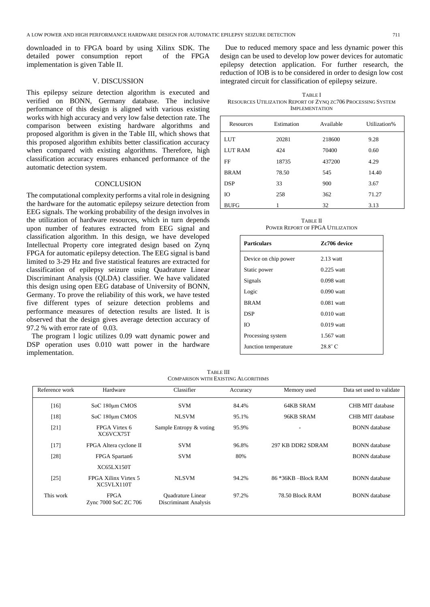downloaded in to FPGA board by using Xilinx SDK. The detailed power consumption report of the FPGA implementation is given Table II.

## V. DISCUSSION

This epilepsy seizure detection algorithm is executed and verified on BONN, Germany database. The inclusive performance of this design is aligned with various existing works with high accuracy and very low false detection rate. The comparison between existing hardware algorithms and proposed algorithm is given in the Table III, which shows that this proposed algorithm exhibits better classification accuracy when compared with existing algorithms. Therefore, high classification accuracy ensures enhanced performance of the automatic detection system.

## **CONCLUSION**

The computational complexity performs a vital role in designing the hardware for the automatic epilepsy seizure detection from EEG signals. The working probability of the design involves in the utilization of hardware resources, which in turn depends upon number of features extracted from EEG signal and classification algorithm. In this design, we have developed Intellectual Property core integrated design based on Zynq FPGA for automatic epilepsy detection. The EEG signal is band limited to 3-29 Hz and five statistical features are extracted for classification of epilepsy seizure using Quadrature Linear Discriminant Analysis (QLDA) classifier. We have validated this design using open EEG database of University of BONN, Germany. To prove the reliability of this work, we have tested five different types of seizure detection problems and performance measures of detection results are listed. It is observed that the design gives average detection accuracy of 97.2 % with error rate of 0.03.

The program l logic utilizes 0.09 watt dynamic power and DSP operation uses 0.010 watt power in the hardware implementation.

Due to reduced memory space and less dynamic power this design can be used to develop low power devices for automatic epilepsy detection application. For further research, the reduction of IOB is to be considered in order to design low cost integrated circuit for classification of epilepsy seizure.

TABLE I RESOURCES UTILIZATION REPORT OF ZYNQ ZC706 PROCESSING SYSTEM IMPLEMENTATION

| Resources      | Estimation | Available | Utilization% |  |
|----------------|------------|-----------|--------------|--|
| <b>LUT</b>     | 20281      | 218600    | 9.28         |  |
| <b>LUT RAM</b> | 424        | 70400     | 0.60         |  |
| FF             | 18735      | 437200    | 4.29         |  |
| <b>BRAM</b>    | 78.50      | 545       | 14.40        |  |
| <b>DSP</b>     | 33         | 900       | 3.67         |  |
| IO             | 258        | 362       | 71.27        |  |
| <b>BUFG</b>    |            | 32        | 3.13         |  |

TABLE II POWER REPORT OF FPGA UTILIZATION

| <b>Particulars</b>   | Zc706 device   |  |  |
|----------------------|----------------|--|--|
| Device on chip power | $2.13$ watt    |  |  |
| Static power         | $0.225$ watt   |  |  |
| Signals              | $0.098$ watt   |  |  |
| Logic                | $0.090$ watt   |  |  |
| <b>BRAM</b>          | $0.081$ watt   |  |  |
| <b>DSP</b>           | $0.010$ watt   |  |  |
| Ю                    | $0.019$ watt   |  |  |
| Processing system    | 1.567 watt     |  |  |
| Junction temperature | $28.8^\circ$ C |  |  |
|                      |                |  |  |

TABLE III COMPARISON WITH EXISTING ALGORITHMS

| Reference work | Hardware                                  | Classifier                                        | Accuracy | Memory used         | Data set used to validate |
|----------------|-------------------------------------------|---------------------------------------------------|----------|---------------------|---------------------------|
| $[16]$         | SoC 180 <sub>um</sub> CMOS                | <b>SVM</b>                                        | 84.4%    | 64KB SRAM           | CHB MIT database          |
| $[18]$         | SoC 180 <sub>um</sub> CMOS                | <b>NLSVM</b>                                      | 95.1%    | 96KB SRAM           | CHB MIT database          |
| $[21]$         | FPGA Virtex 6<br>XC6VCX75T                | Sample Entropy & voting                           | 95.9%    |                     | <b>BONN</b> database      |
| $[17]$         | FPGA Altera cyclone II                    | <b>SVM</b>                                        | 96.8%    | 297 KB DDR2 SDRAM   | <b>BONN</b> database      |
| [28]           | FPGA Spartan6                             | <b>SVM</b>                                        | 80%      |                     | <b>BONN</b> database      |
|                | <b>XC65LX150T</b>                         |                                                   |          |                     |                           |
| [25]           | <b>FPGA Xilinx Virtex 5</b><br>XC5VLX110T | <b>NLSVM</b>                                      | 94.2%    | 86 *36KB -Block RAM | <b>BONN</b> database      |
| This work      | <b>FPGA</b><br>Zync 7000 SoC ZC 706       | <b>Ouadrature Linear</b><br>Discriminant Analysis | 97.2%    | 78.50 Block RAM     | <b>BONN</b> database      |